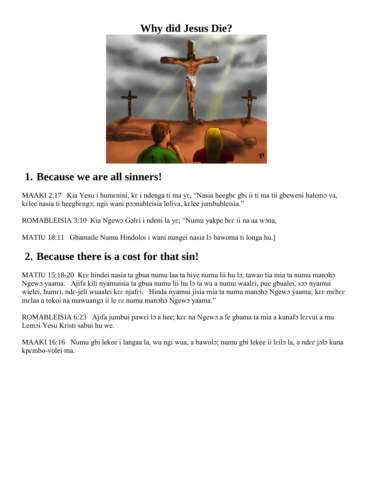#### **Why did Jesus Die?**



#### **1. Because we are all sinners!**

MAAKI 2:17 Kia Yesu i humenini, ke i ndenga ti ma ye, "Nasia heegbe gbi ii ti ma tii gbeweni halemo va, kɛlee nasia ti heegbɛngɔ; ngii wani pɔɔnableisia loliva, kɛlee jumbubleisia."

ROMABLEISIA 3:10 Kia Ngewo Golei i ndeni la ye; "Numu yakpe bee ii na aa wona,

MATIU 18:11 Gbamaile Numu Hindoloi i wani nungei nasia lo bawoma ti longa hu.

### **2. Because there is a cost for that sin!**

MATIU 15:18-20 Kee hindei nasia ta gbua numu laa ta hiye numu lii hu lɔ, tawao tia mia ta numu manɔhɔ Ngewɔ yaama. Ajifa kili nyamuisia ta gbua numu lii hu lɔ ta wa a numu waalɛi, pue gbualei, sɔɔ nyamui wielei, humɛi, ndɛ-jeli wuaalei kɛɛ njafɛi. Hinda nyamui jisia mia ta numu manɔhɔ Ngewɔ yaama; kɛɛ mɛhɛɛ mɛlaa a tokoi na mawuangɔ ii le ɛɛ numu manɔhɔ Ngewɔ yaama."

ROMABLEISIA 6:23 Ajifa jumbui pawei lo a hee; kee na Ngewo a fe gbama ta mia a kunafo leevui a mu Lemɔi Yesu Kristi sabui hu we.

MAAKI 16:16 Numu gbi lekee i langaa la, wu ngi wua, a bawolɔ; numu gbi lekee ii lɛilɔ la, a ndɛɛ jɔlɔ kuna kpɛmbo-volei ma.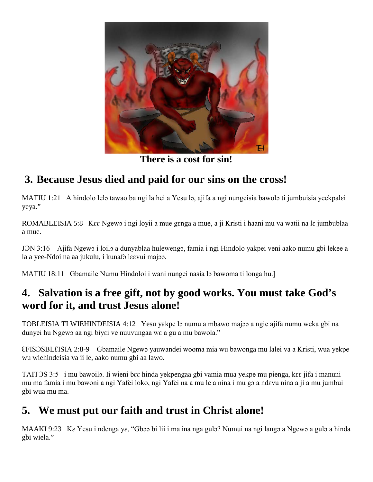

**There is a cost for sin!**

# **3. Because Jesus died and paid for our sins on the cross!**

MATIU 1:21 A hindolo lelo tawao ba ngi la hei a Yesu lo, ajifa a ngi nungeisia bawolo ti jumbuisia yeekpalɛi yeya."

ROMABLEISIA 5:8 K $\epsilon \epsilon$  Ngewo i ngi loyii a mue genga a mue, a ji Kristi i haani mu va watii na lɛ jumbublaa a mue.

JƆN 3:16 Ajifa Ngewɔ i loilɔ a dunyablaa hulewengɔ, famia i ngi Hindolo yakpei veni aako numu gbi lekee a la a yee-Ndoi na aa jukulu, i kunafɔ lɛɛvui majɔɔ.

MATIU 18:11 Gbamaile Numu Hindoloi i wani nungei nasia lo bawoma ti longa hu.]

# **4. Salvation is a free gift, not by good works. You must take God's word for it, and trust Jesus alone!**

TOBLEISIA TI WIEHINDEISIA 4:12 Yesu yakpe lɔ numu a mbawo majɔɔ a ngie ajifa numu weka gbi na dunyei hu Ngewo aa ngi biyei ve nuuvungaa we a gu a mu bawola."

ƐFISƆSBLƐISIA 2:8-9 Gbamaile Ngewɔ yauwandei wooma mia wu bawonga mu lalei va a Kristi, wua yekpe wu wiehindeisia va ii le, aako numu gbi aa lawo.

TAITƆS 3:5 i mu bawoilɔ. Ii wieni bɛɛ hinda yekpengaa gbi vamia mua yekpe mu pienga, kɛɛ jifa i manuni mu ma famia i mu bawoni a ngi Yafei loko, ngi Yafei na a mu le a nina i mu gɔ a ndɛvu nina a ji a mu jumbui gbi wua mu ma.

# **5. We must put our faith and trust in Christ alone!**

MAAKI 9:23 Kɛ Yesu i ndenga yɛ, "Gbɔɔ bi lii i ma ina nga gulɔ? Numui na ngi langɔ a Ngewɔ a gulɔ a hinda gbi wiela."